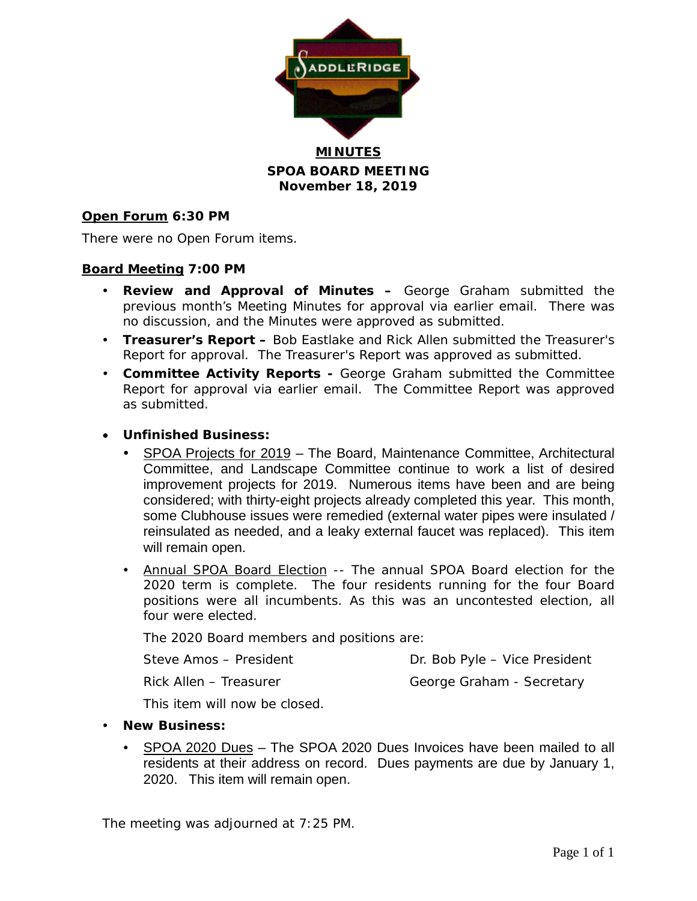

**MINUTES SPOA BOARD MEETING November 18, 2019**

#### **Open Forum 6:30 PM**

There were no Open Forum items.

#### **Board Meeting 7:00 PM**

- **Review and Approval of Minutes –** George Graham submitted the previous month's Meeting Minutes for approval via earlier email. There was no discussion, and the Minutes were approved as submitted.
- **Treasurer's Report –** Bob Eastlake and Rick Allen submitted the Treasurer's Report for approval. The Treasurer's Report was approved as submitted.
- **Committee Activity Reports -** George Graham submitted the Committee Report for approval via earlier email. The Committee Report was approved as submitted.
- **Unfinished Business:**
	- SPOA Projects for 2019 The Board, Maintenance Committee, Architectural Committee, and Landscape Committee continue to work a list of desired improvement projects for 2019. Numerous items have been and are being considered; with thirty-eight projects already completed this year. This month, some Clubhouse issues were remedied (external water pipes were insulated / reinsulated as needed, and a leaky external faucet was replaced). This item will remain open.
	- Annual SPOA Board Election -- The annual SPOA Board election for the 2020 term is complete. The four residents running for the four Board positions were all incumbents. As this was an uncontested election, all four were elected.

The 2020 Board members and positions are:

Steve Amos – President Dr. Bob Pyle – Vice President Rick Allen – Treasurer George Graham - Secretary

This item will now be closed.

- **New Business:**
	- SPOA 2020 Dues The SPOA 2020 Dues Invoices have been mailed to all residents at their address on record. Dues payments are due by January 1, 2020. This item will remain open.

The meeting was adjourned at 7:25 PM.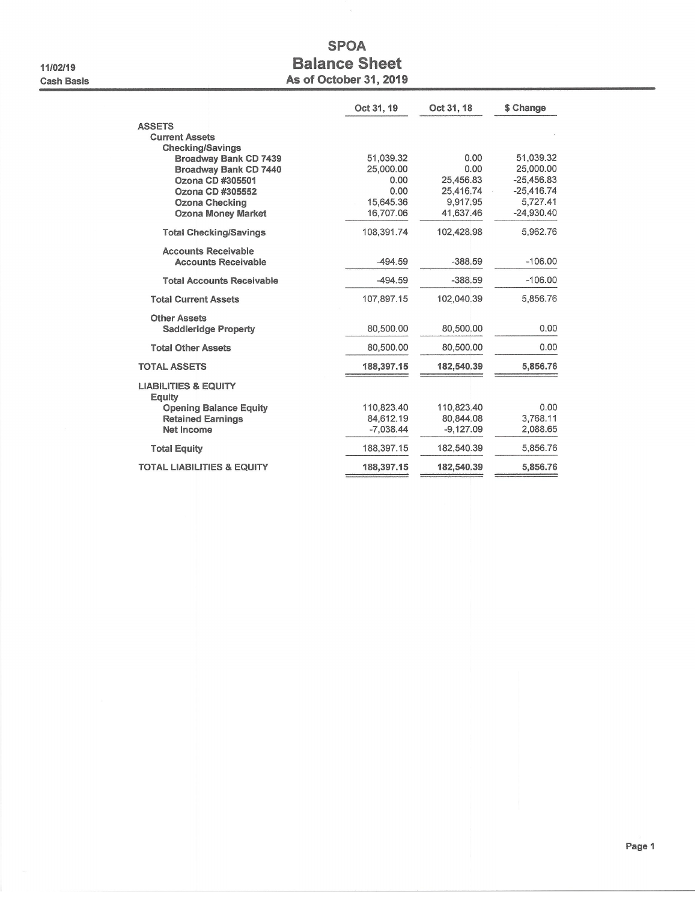11/02/19 **Cash Basis** 

# **SPOA Balance Sheet** As of October 31, 2019

|                                           | Oct 31, 19  | Oct 31, 18  | \$ Change    |
|-------------------------------------------|-------------|-------------|--------------|
| <b>ASSETS</b>                             |             |             |              |
| <b>Current Assets</b>                     |             |             |              |
| <b>Checking/Savings</b>                   |             |             |              |
| Broadway Bank CD 7439                     | 51.039.32   | 0.00        | 51.039.32    |
| Broadway Bank CD 7440                     | 25,000.00   | 0.00        | 25,000.00    |
| Ozona CD #305501                          | 0.00        | 25,456.83   | $-25,456.83$ |
| Ozona CD #305552                          | 0.00        | 25.416.74   | $-25.416.74$ |
| <b>Ozona Checking</b>                     | 15.645.36   | 9,917.95    | 5,727.41     |
| <b>Ozona Money Market</b>                 | 16,707.06   | 41,637.46   | $-24,930.40$ |
| <b>Total Checking/Savings</b>             | 108,391.74  | 102,428.98  | 5,962.76     |
| <b>Accounts Receivable</b>                |             |             |              |
| <b>Accounts Receivable</b>                | $-494.59$   | $-388.59$   | $-106.00$    |
| <b>Total Accounts Receivable</b>          | $-494.59$   | $-388.59$   | $-106.00$    |
| <b>Total Current Assets</b>               | 107,897.15  | 102,040.39  | 5,856.76     |
| <b>Other Assets</b>                       |             |             |              |
| <b>Saddleridge Property</b>               | 80.500.00   | 80,500.00   | 0.00         |
| <b>Total Other Assets</b>                 | 80,500.00   | 80,500.00   | 0.00         |
| <b>TOTAL ASSETS</b>                       | 188,397.15  | 182,540.39  | 5,856.76     |
| <b>LIABILITIES &amp; EQUITY</b><br>Equity |             |             |              |
| <b>Opening Balance Equity</b>             | 110,823.40  | 110,823.40  | 0.00         |
| <b>Retained Earnings</b>                  | 84,612.19   | 80.844.08   | 3,768.11     |
| <b>Net Income</b>                         | $-7,038.44$ | $-9.127.09$ | 2.088.65     |
| <b>Total Equity</b>                       | 188,397.15  | 182,540.39  | 5,856.76     |
| <b>TOTAL LIABILITIES &amp; EQUITY</b>     | 188,397.15  | 182,540.39  | 5,856.76     |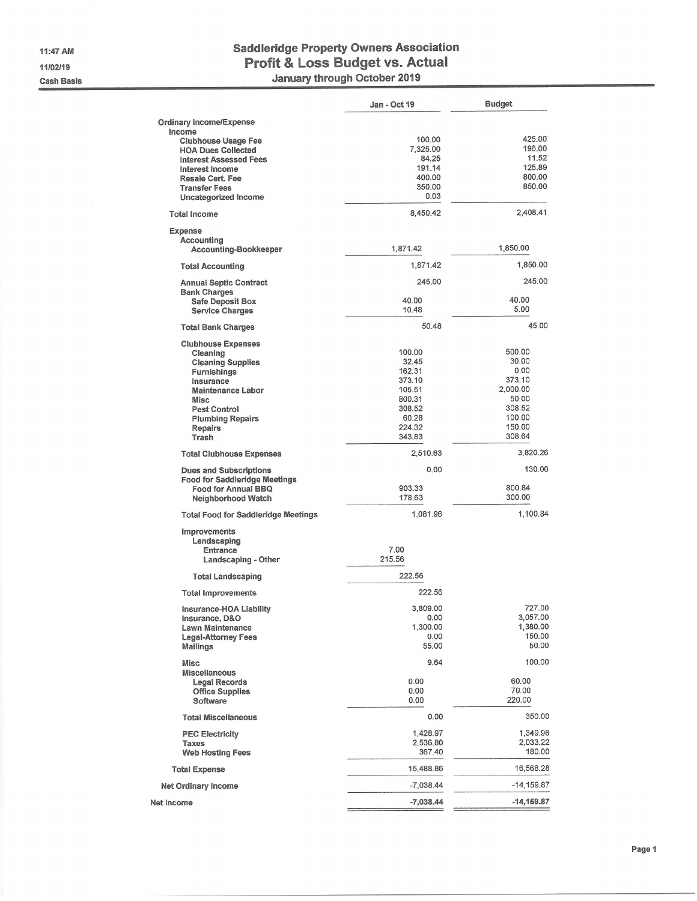11:47 AM 11/02/19 **Cash Basis** 

# **Saddleridge Property Owners Association** Profit & Loss Budget vs. Actual<br>January through October 2019

|                                                   | Jan - Oct 19       | <b>Budget</b>      |
|---------------------------------------------------|--------------------|--------------------|
| <b>Ordinary Income/Expense</b>                    |                    |                    |
| Income                                            |                    |                    |
| <b>Clubhouse Usage Fee</b>                        | 100.00             | 425.00             |
| <b>HOA Dues Collected</b>                         | 7,325.00           | 196.00             |
| <b>Interest Assessed Fees</b>                     | 84.25              | 11.52              |
| Interest Income                                   | 191.14             | 125.89             |
| <b>Resale Cert. Fee</b>                           | 400.00             | 800.00             |
| <b>Transfer Fees</b>                              | 350.00<br>0.03     | 850.00             |
| Uncategorized Income                              | 8,450.42           | 2,408.41           |
| <b>Total Income</b>                               |                    |                    |
| <b>Expense</b>                                    |                    |                    |
| Accounting<br><b>Accounting-Bookkeeper</b>        | 1,871.42           | 1,850.00           |
|                                                   |                    |                    |
| <b>Total Accounting</b>                           | 1,871.42           | 1,850.00           |
| <b>Annual Septic Contract</b>                     | 245.00             | 245.00             |
| <b>Bank Charges</b>                               |                    |                    |
| <b>Safe Deposit Box</b><br><b>Service Charges</b> | 40.00<br>10.48     | 40.00<br>5.00      |
|                                                   |                    |                    |
| <b>Total Bank Charges</b>                         | 50.48              | 45.00              |
| <b>Clubhouse Expenses</b>                         |                    |                    |
| Cleaning                                          | 100.00             | 500.00             |
| <b>Cleaning Supplies</b>                          | 32.45              | 30.00              |
| Furnishings                                       | 162.31             | 0.00<br>373.10     |
| Insurance                                         | 373.10<br>105.51   | 2,000.00           |
| <b>Maintenance Labor</b><br><b>Misc</b>           | 800.31             | 50.00              |
| <b>Pest Control</b>                               | 308.52             | 308.52             |
| <b>Plumbing Repairs</b>                           | 60.28              | 100.00             |
| <b>Repairs</b>                                    | 224.32             | 150.00             |
| Trash                                             | 343.83             | 308.64             |
| <b>Total Clubhouse Expenses</b>                   | 2,510.63           | 3,820.26           |
| <b>Dues and Subscriptions</b>                     | 0.00               | 130.00             |
| <b>Food for Saddleridge Meetings</b>              |                    |                    |
| Food for Annual BBQ                               | 903.33             | 800.84             |
| Neighborhood Watch                                | 178.63             | 300.00             |
| <b>Total Food for Saddleridge Meetings</b>        | 1,081.96           | 1,100.84           |
| <b>Improvements</b>                               |                    |                    |
| Landscaping                                       |                    |                    |
| Entrance                                          | 7.00               |                    |
| <b>Landscaping - Other</b>                        | 215.56             |                    |
| <b>Total Landscaping</b>                          | 222.56             |                    |
| <b>Total Improvements</b>                         | 222.56             |                    |
| Insurance-HOA Liability                           | 3,809.00           | 727.00             |
| Insurance, D&O                                    | 0.00               | 3,057.00           |
| <b>Lawn Maintenance</b>                           | 1,300.00           | 1,380.00<br>150.00 |
| <b>Legal-Attorney Fees</b><br><b>Mailings</b>     | 0.00<br>55.00      | 50.00              |
|                                                   |                    |                    |
| <b>Misc</b><br><b>Miscellaneous</b>               | 9.64               | 100,00             |
| <b>Legal Records</b>                              | 0.00               | 60.00              |
| <b>Office Supplies</b>                            | 0.00               | 70.00              |
| Software                                          | 0.00               | 220.00             |
| <b>Total Miscellaneous</b>                        | 0.00               | 350.00             |
|                                                   |                    |                    |
| <b>PEC Electricity</b>                            | 1,428.97           | 1,349.96           |
| Taxes                                             | 2,536.80<br>367.40 | 2,033.22<br>180.00 |
| <b>Web Hosting Fees</b>                           |                    |                    |
| <b>Total Expense</b>                              | 15,488.86          | 16,568.28          |
| <b>Net Ordinary Income</b>                        | $-7,038.44$        | $-14, 159.87$      |
| Net Income                                        | $-7,038.44$        | $-14,159.87$       |